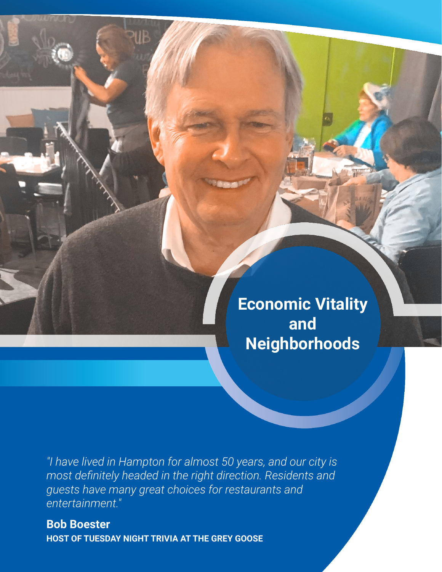**Economic Vitality and Neighborhoods**

*"I have lived in Hampton for almost 50 years, and our city is most definitely headed in the right direction. Residents and guests have many great choices for restaurants and entertainment."* 

**Bob Boester HOST OF TUESDAY NIGHT TRIVIA AT THE GREY GOOSE**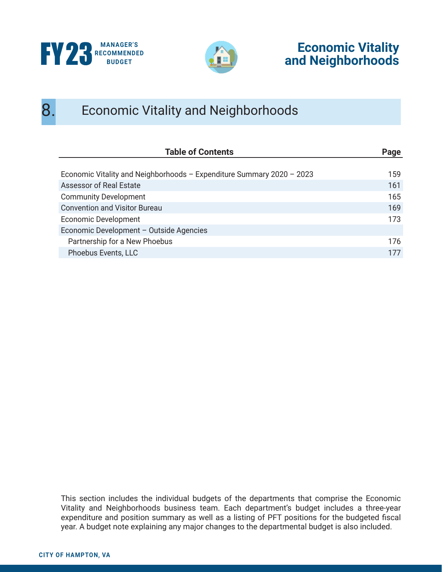



# 8. Economic Vitality and Neighborhoods

| <b>Table of Contents</b>                                              | Page |
|-----------------------------------------------------------------------|------|
|                                                                       |      |
| Economic Vitality and Neighborhoods - Expenditure Summary 2020 - 2023 | 159  |
| <b>Assessor of Real Estate</b>                                        | 161  |
| <b>Community Development</b>                                          | 165  |
| <b>Convention and Visitor Bureau</b>                                  | 169  |
| Economic Development                                                  | 173  |
| Economic Development - Outside Agencies                               |      |
| Partnership for a New Phoebus                                         | 176  |
| Phoebus Events, LLC                                                   | 177  |

This section includes the individual budgets of the departments that comprise the Economic Vitality and Neighborhoods business team. Each department's budget includes a three-year expenditure and position summary as well as a listing of PFT positions for the budgeted fiscal year. A budget note explaining any major changes to the departmental budget is also included.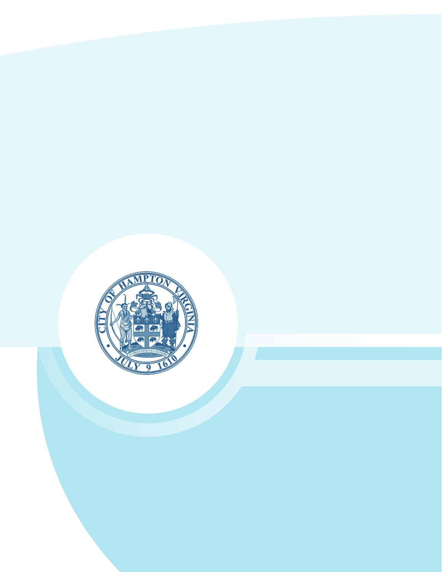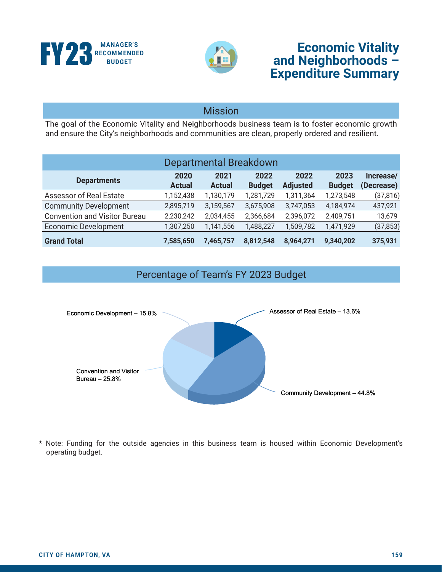



# **Economic Vitality and Neighborhoods – Expenditure Summary**

## Mission

The goal of the Economic Vitality and Neighborhoods business team is to foster economic growth and ensure the City's neighborhoods and communities are clean, properly ordered and resilient.

| Departmental Breakdown               |                       |                       |                       |                         |                       |                         |  |  |
|--------------------------------------|-----------------------|-----------------------|-----------------------|-------------------------|-----------------------|-------------------------|--|--|
| <b>Departments</b>                   | 2020<br><b>Actual</b> | 2021<br><b>Actual</b> | 2022<br><b>Budget</b> | 2022<br><b>Adjusted</b> | 2023<br><b>Budget</b> | Increase/<br>(Decrease) |  |  |
| <b>Assessor of Real Estate</b>       | 1,152,438             | 1,130,179             | 1,281,729             | 1,311,364               | 1,273,548             | (37, 816)               |  |  |
| <b>Community Development</b>         | 2,895,719             | 3,159,567             | 3,675,908             | 3,747,053               | 4,184,974             | 437,921                 |  |  |
| <b>Convention and Visitor Bureau</b> | 2,230,242             | 2,034,455             | 2,366,684             | 2,396,072               | 2,409,751             | 13,679                  |  |  |
| <b>Economic Development</b>          | 1,307,250             | 1,141,556             | 1,488,227             | 1,509,782               | 1,471,929             | (37, 853)               |  |  |
| <b>Grand Total</b>                   | 7,585,650             | 7,465,757             | 8,812,548             | 8,964,271               | 9,340,202             | 375,931                 |  |  |

## Percentage of Team's FY 2023 Budget



\* Note: Funding for the outside agencies in this business team is housed within Economic Development's operating budget.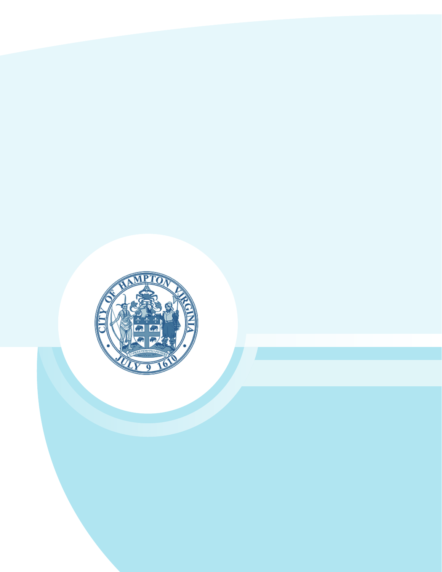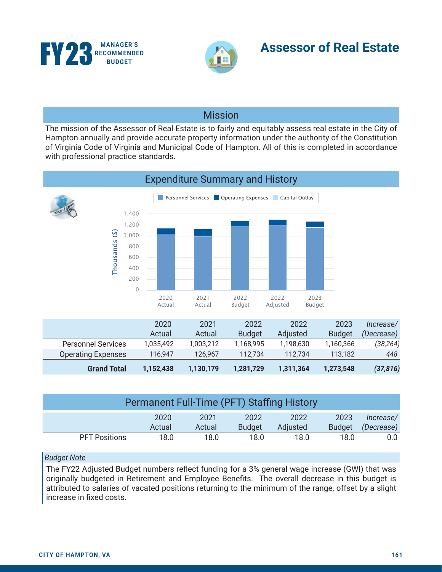



# **Assessor of Real Estate**

## Mission

The mission of the Assessor of Real Estate is to fairly and equitably assess real estate in the City of Hampton annually and provide accurate property information under the authority of the Constitution of Virginia Code of Virginia and Municipal Code of Hampton. All of this is completed in accordance with professional practice standards.



| Permanent Full-Time (PFT) Staffing History |                |                |                       |                  |                       |                         |  |
|--------------------------------------------|----------------|----------------|-----------------------|------------------|-----------------------|-------------------------|--|
|                                            | 2020<br>Actual | 2021<br>Actual | 2022<br><b>Budget</b> | 2022<br>Adjusted | 2023<br><b>Budget</b> | Increase/<br>(Decrease) |  |
| <b>PFT Positions</b>                       | 18.0           | 18.0           | 18.0                  | 18.0             | 18.0                  | 0.0                     |  |

## *Budget Note*

The FY22 Adjusted Budget numbers reflect funding for a 3% general wage increase (GWI) that was originally budgeted in Retirement and Employee Benefits. The overall decrease in this budget is attributed to salaries of vacated positions returning to the minimum of the range, offset by a slight increase in fixed costs.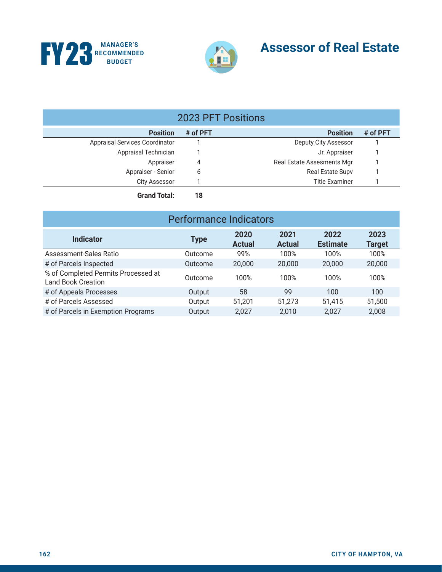



# **Assessor of Real Estate**

| <b>2023 PFT Positions</b>             |                            |          |  |  |  |  |  |
|---------------------------------------|----------------------------|----------|--|--|--|--|--|
| # of PFT<br><b>Position</b>           | <b>Position</b>            | # of PFT |  |  |  |  |  |
| <b>Appraisal Services Coordinator</b> | Deputy City Assessor       |          |  |  |  |  |  |
| Appraisal Technician                  | Jr. Appraiser              |          |  |  |  |  |  |
| Appraiser<br>4                        | Real Estate Assesments Mgr |          |  |  |  |  |  |
| Appraiser - Senior<br>6               | <b>Real Estate Supv</b>    |          |  |  |  |  |  |
| <b>City Assessor</b>                  | <b>Title Examiner</b>      |          |  |  |  |  |  |
|                                       |                            |          |  |  |  |  |  |

**Grand Total: 18**

| <b>Performance Indicators</b>                                    |             |                       |                       |                         |                       |  |  |  |
|------------------------------------------------------------------|-------------|-----------------------|-----------------------|-------------------------|-----------------------|--|--|--|
| <b>Indicator</b>                                                 | <b>Type</b> | 2020<br><b>Actual</b> | 2021<br><b>Actual</b> | 2022<br><b>Estimate</b> | 2023<br><b>Target</b> |  |  |  |
| Assessment-Sales Ratio                                           | Outcome     | 99%                   | 100%                  | 100%                    | 100%                  |  |  |  |
| # of Parcels Inspected                                           | Outcome     | 20,000                | 20,000                | 20,000                  | 20,000                |  |  |  |
| % of Completed Permits Processed at<br><b>Land Book Creation</b> | Outcome     | 100%                  | 100%                  | 100%                    | 100%                  |  |  |  |
| # of Appeals Processes                                           | Output      | 58                    | 99                    | 100                     | 100                   |  |  |  |
| # of Parcels Assessed                                            | Output      | 51,201                | 51,273                | 51,415                  | 51,500                |  |  |  |
| # of Parcels in Exemption Programs                               | Output      | 2,027                 | 2,010                 | 2,027                   | 2,008                 |  |  |  |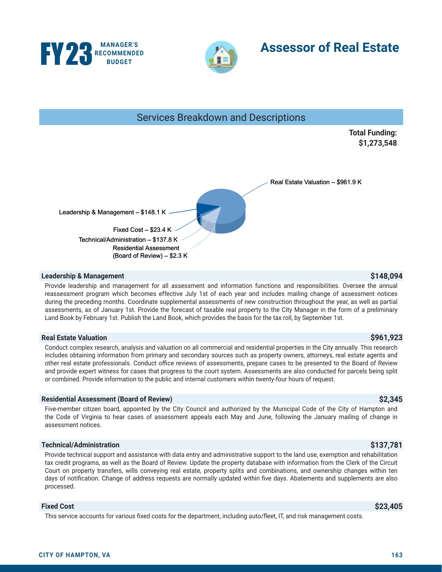



# **Assessor of Real Estate**

## Services Breakdown and Descriptions

**Total Funding: \$1,273,548**



## **Leadership & Management \$148,094**

Provide leadership and management for all assessment and information functions and responsibilities. Oversee the annual reassessment program which becomes effective July 1st of each year and includes mailing change of assessment notices during the preceding months. Coordinate supplemental assessments of new construction throughout the year, as well as partial assessments, as of January 1st. Provide the forecast of taxable real property to the City Manager in the form of a preliminary Land Book by February 1st. Publish the Land Book, which provides the basis for the tax roll, by September 1st.

## **Real Estate Valuation \$961,923**

Conduct complex research, analysis and valuation on all commercial and residential properties in the City annually. This research includes obtaining information from primary and secondary sources such as property owners, attorneys, real estate agents and other real estate professionals. Conduct office reviews of assessments, prepare cases to be presented to the Board of Review and provide expert witness for cases that progress to the court system. Assessments are also conducted for parcels being split or combined. Provide information to the public and internal customers within twenty-four hours of request.

## **Residential Assessment (Board of Review) \$2,345**

Five-member citizen board, appointed by the City Council and authorized by the Municipal Code of the City of Hampton and the Code of Virginia to hear cases of assessment appeals each May and June, following the January mailing of change in assessment notices.

## **Technical/Administration \$137,781**

Provide technical support and assistance with data entry and administrative support to the land use, exemption and rehabilitation tax credit programs, as well as the Board of Review. Update the property database with information from the Clerk of the Circuit Court on property transfers, wills conveying real estate, property splits and combinations, and ownership changes within ten days of notification. Change of address requests are normally updated within five days. Abatements and supplements are also processed.

## **Fixed Cost \$23,405**

This service accounts for various fixed costs for the department, including auto/fleet, IT, and risk management costs.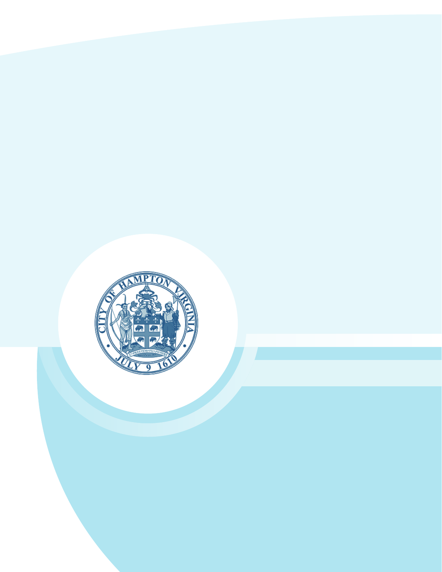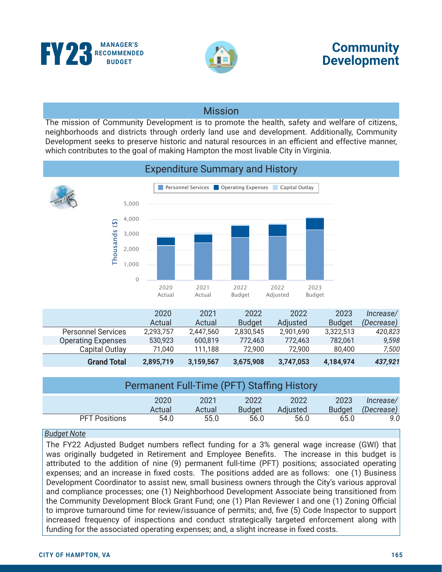



## Mission

The mission of Community Development is to promote the health, safety and welfare of citizens, neighborhoods and districts through orderly land use and development. Additionally, Community Development seeks to preserve historic and natural resources in an efficient and effective manner, which contributes to the goal of making Hampton the most livable City in Virginia.



|                           | 2020      | 2021      | 2022          | 2022      | 2023          | Increase/  |
|---------------------------|-----------|-----------|---------------|-----------|---------------|------------|
|                           | Actual    | Actual    | <b>Budget</b> | Adjusted  | <b>Budget</b> | (Decrease) |
| <b>Personnel Services</b> | 2,293,757 | 2,447,560 | 2,830,545     | 2,901,690 | 3,322,513     | 420,823    |
| <b>Operating Expenses</b> | 530,923   | 600.819   | 772.463       | 772,463   | 782.061       | 9,598      |
| Capital Outlay            | 71.040    | 111.188   | 72,900        | 72,900    | 80.400        | 7,500      |
| <b>Grand Total</b>        | 2,895,719 | 3,159,567 | 3,675,908     | 3,747,053 | 4,184,974     | 437,921    |

| Permanent Full-Time (PFT) Staffing History |                |                |                       |                  |                       |                         |  |
|--------------------------------------------|----------------|----------------|-----------------------|------------------|-----------------------|-------------------------|--|
|                                            | 2020<br>Actual | 2021<br>Actual | 2022<br><b>Budget</b> | 2022<br>Adjusted | 2023<br><b>Budget</b> | Increase/<br>(Decrease) |  |
| <b>PFT Positions</b>                       | 54.0           | 55.0           | 56.0                  | 56.0             | 65.0                  | 9.0                     |  |

## *Budget Note*

The FY22 Adjusted Budget numbers reflect funding for a 3% general wage increase (GWI) that was originally budgeted in Retirement and Employee Benefits. The increase in this budget is attributed to the addition of nine (9) permanent full-time (PFT) positions; associated operating expenses; and an increase in fixed costs. The positions added are as follows: one (1) Business Development Coordinator to assist new, small business owners through the City's various approval and compliance processes; one (1) Neighborhood Development Associate being transitioned from the Community Development Block Grant Fund; one (1) Plan Reviewer I and one (1) Zoning Official to improve turnaround time for review/issuance of permits; and, five (5) Code Inspector to support increased frequency of inspections and conduct strategically targeted enforcement along with funding for the associated operating expenses; and, a slight increase in fixed costs.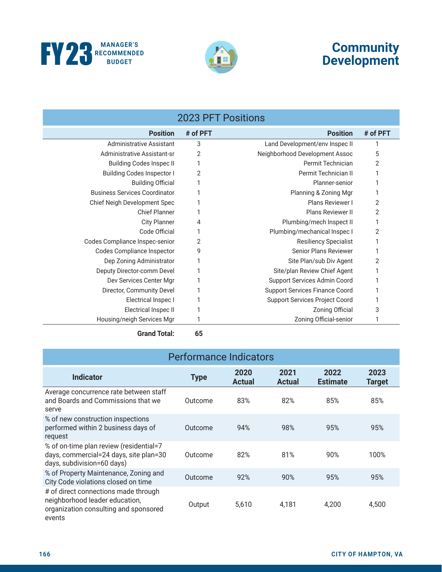



# **Community Development**

|                                      |                | <b>2023 PFT Positions</b>             |                |
|--------------------------------------|----------------|---------------------------------------|----------------|
| <b>Position</b>                      | # of PFT       | <b>Position</b>                       | # of PFT       |
| Administrative Assistant             | 3              | Land Development/env Inspec II        |                |
| Administrative Assistant-sr          | $\overline{2}$ | Neighborhood Development Assoc        | 5              |
| <b>Building Codes Inspec II</b>      |                | Permit Technician                     | 2              |
| <b>Building Codes Inspector I</b>    | $\overline{2}$ | <b>Permit Technician II</b>           |                |
| <b>Building Official</b>             | 1              | Planner-senior                        |                |
| <b>Business Services Coordinator</b> |                | Planning & Zoning Mgr                 |                |
| Chief Neigh Development Spec         |                | Plans Reviewer I                      | $\overline{2}$ |
| <b>Chief Planner</b>                 | 1              | <b>Plans Reviewer II</b>              | $\overline{2}$ |
| <b>City Planner</b>                  | 4              | Plumbing/mech Inspect II              |                |
| Code Official                        |                | Plumbing/mechanical Inspec I          | $\overline{2}$ |
| Codes Compliance Inspec-senior       | $\overline{2}$ | <b>Resiliency Specialist</b>          | 1              |
| Codes Compliance Inspector           | 9              | <b>Senior Plans Reviewer</b>          |                |
| Dep Zoning Administrator             |                | Site Plan/sub Div Agent               | $\overline{2}$ |
| Deputy Director-comm Devel           |                | Site/plan Review Chief Agent          |                |
| Dev Services Center Mgr              |                | Support Services Admin Coord          |                |
| Director, Community Devel            |                | <b>Support Services Finance Coord</b> |                |
| Electrical Inspec I                  |                | <b>Support Services Project Coord</b> |                |
| Electrical Inspec II                 |                | <b>Zoning Official</b>                | 3              |
| Housing/neigh Services Mgr           |                | Zoning Official-senior                |                |

**Grand Total: 65**

| <b>Performance Indicators</b>                                                                                             |             |                       |                       |                         |                       |  |  |  |
|---------------------------------------------------------------------------------------------------------------------------|-------------|-----------------------|-----------------------|-------------------------|-----------------------|--|--|--|
| <b>Indicator</b>                                                                                                          | <b>Type</b> | 2020<br><b>Actual</b> | 2021<br><b>Actual</b> | 2022<br><b>Estimate</b> | 2023<br><b>Target</b> |  |  |  |
| Average concurrence rate between staff<br>and Boards and Commissions that we<br>serve                                     | Outcome     | 83%                   | 82%                   | 85%                     | 85%                   |  |  |  |
| % of new construction inspections<br>performed within 2 business days of<br>request                                       | Outcome     | 94%                   | 98%                   | 95%                     | 95%                   |  |  |  |
| % of on-time plan review (residential=7<br>days, commercial=24 days, site plan=30<br>days, subdivision=60 days)           | Outcome     | 82%                   | 81%                   | 90%                     | 100%                  |  |  |  |
| % of Property Maintenance, Zoning and<br>City Code violations closed on time                                              | Outcome     | 92%                   | 90%                   | 95%                     | 95%                   |  |  |  |
| # of direct connections made through<br>neighborhood leader education,<br>organization consulting and sponsored<br>events | Output      | 5,610                 | 4,181                 | 4,200                   | 4,500                 |  |  |  |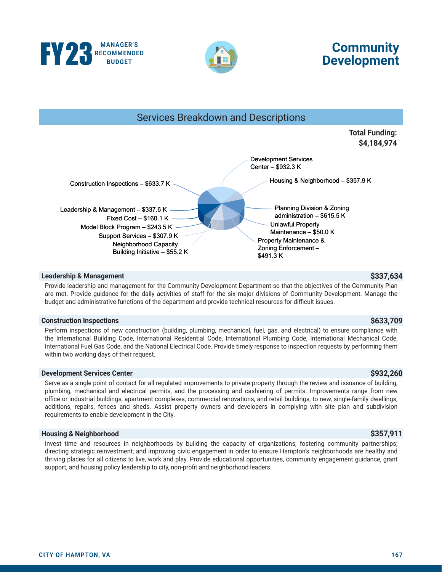







## **Leadership & Management \$337,634**

Provide leadership and management for the Community Development Department so that the objectives of the Community Plan are met. Provide guidance for the daily activities of staff for the six major divisions of Community Development. Manage the budget and administrative functions of the department and provide technical resources for difficult issues.

## **Construction Inspections \$633,709**

Perform inspections of new construction (building, plumbing, mechanical, fuel, gas, and electrical) to ensure compliance with the International Building Code, International Residential Code, International Plumbing Code, International Mechanical Code, International Fuel Gas Code, and the National Electrical Code. Provide timely response to inspection requests by performing them within two working days of their request.

## **Development Services Center by Contract Center <b>***S932,260*

Serve as a single point of contact for all regulated improvements to private property through the review and issuance of building, plumbing, mechanical and electrical permits, and the processing and cashiering of permits. Improvements range from new office or industrial buildings, apartment complexes, commercial renovations, and retail buildings, to new, single-family dwellings, additions, repairs, fences and sheds. Assist property owners and developers in complying with site plan and subdivision requirements to enable development in the City.

## **Housing & Neighborhood \$357,911**

Invest time and resources in neighborhoods by building the capacity of organizations; fostering community partnerships; directing strategic reinvestment; and improving civic engagement in order to ensure Hampton's neighborhoods are healthy and thriving places for all citizens to live, work and play. Provide educational opportunities, community engagement guidance, grant support, and housing policy leadership to city, non-profit and neighborhood leaders.

## **CITY OF HAMPTON, VA 167**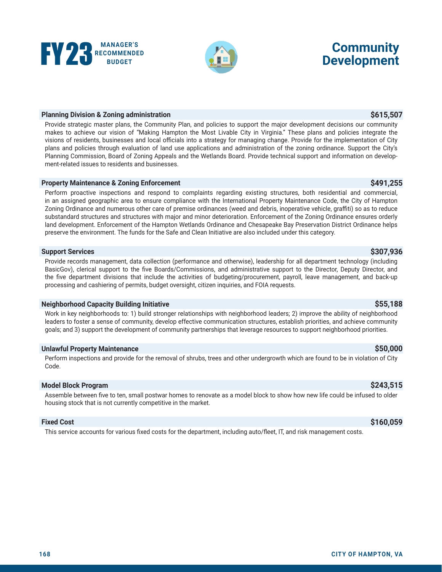## **Planning Division & Zoning administration \$615,507**

Provide strategic master plans, the Community Plan, and policies to support the major development decisions our community makes to achieve our vision of "Making Hampton the Most Livable City in Virginia." These plans and policies integrate the visions of residents, businesses and local officials into a strategy for managing change. Provide for the implementation of City plans and policies through evaluation of land use applications and administration of the zoning ordinance. Support the City's Planning Commission, Board of Zoning Appeals and the Wetlands Board. Provide technical support and information on development-related issues to residents and businesses.

## **Property Maintenance & Zoning Enforcement \$491,255**

Perform proactive inspections and respond to complaints regarding existing structures, both residential and commercial, in an assigned geographic area to ensure compliance with the International Property Maintenance Code, the City of Hampton Zoning Ordinance and numerous other care of premise ordinances (weed and debris, inoperative vehicle, graffiti) so as to reduce substandard structures and structures with major and minor deterioration. Enforcement of the Zoning Ordinance ensures orderly land development. Enforcement of the Hampton Wetlands Ordinance and Chesapeake Bay Preservation District Ordinance helps preserve the environment. The funds for the Safe and Clean Initiative are also included under this category.

### **Support Services \$307,936**

Provide records management, data collection (performance and otherwise), leadership for all department technology (including BasicGov), clerical support to the five Boards/Commissions, and administrative support to the Director, Deputy Director, and the five department divisions that include the activities of budgeting/procurement, payroll, leave management, and back-up processing and cashiering of permits, budget oversight, citizen inquiries, and FOIA requests.

### **Neighborhood Capacity Building Initiative \$55,188**

Work in key neighborhoods to: 1) build stronger relationships with neighborhood leaders; 2) improve the ability of neighborhood leaders to foster a sense of community, develop effective communication structures, establish priorities, and achieve community goals; and 3) support the development of community partnerships that leverage resources to support neighborhood priorities.

### **Unlawful Property Maintenance \$50,000**

Perform inspections and provide for the removal of shrubs, trees and other undergrowth which are found to be in violation of City Code.

### **Model Block Program \$243,515**

Assemble between five to ten, small postwar homes to renovate as a model block to show how new life could be infused to older housing stock that is not currently competitive in the market.

## **Fixed Cost \$160,059**

This service accounts for various fixed costs for the department, including auto/fleet, IT, and risk management costs.

## **Manager's Recommended BUDGET**



**Community Development**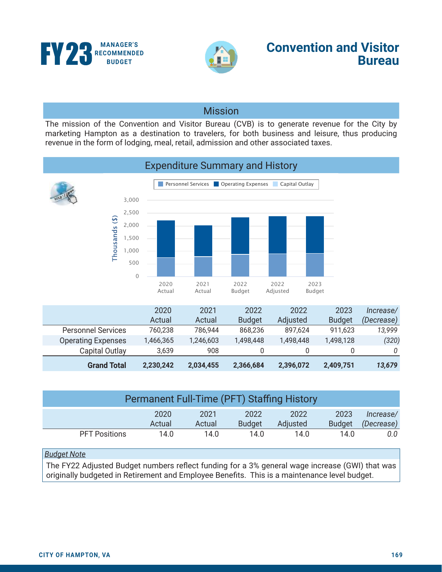



# **Convention and Visitor Bureau**

## Mission

The mission of the Convention and Visitor Bureau (CVB) is to generate revenue for the City by marketing Hampton as a destination to travelers, for both business and leisure, thus producing revenue in the form of lodging, meal, retail, admission and other associated taxes.



| <b>Grand Total</b>        | 2.230.242 | 2.034.455 | 2.366.684 | 2.396.072 | 2.409.751 | 13.679 |
|---------------------------|-----------|-----------|-----------|-----------|-----------|--------|
| Capital Outlay            | 3.639     | 908       |           |           |           |        |
| <b>Operating Expenses</b> | 1,466,365 | 1.246.603 | 1.498.448 | 1.498.448 | 1.498.128 | (320)  |

| Permanent Full-Time (PFT) Staffing History |                |                |                       |                  |                       |                         |  |
|--------------------------------------------|----------------|----------------|-----------------------|------------------|-----------------------|-------------------------|--|
|                                            | 2020<br>Actual | 2021<br>Actual | 2022<br><b>Budget</b> | 2022<br>Adjusted | 2023<br><b>Budget</b> | Increase/<br>(Decrease) |  |
| <b>PFT Positions</b>                       | 14.0           | 14.0           | 14.0                  | 14.0             | 14.0                  | 0.0                     |  |
| <b>Budget Note</b>                         |                |                |                       |                  |                       |                         |  |

The FY22 Adjusted Budget numbers reflect funding for a 3% general wage increase (GWI) that was originally budgeted in Retirement and Employee Benefits. This is a maintenance level budget.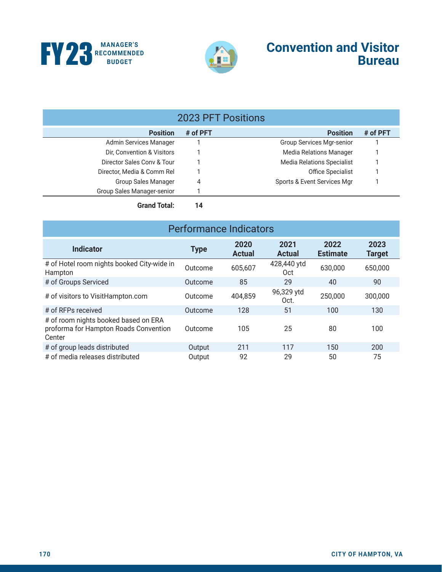



# **Convention and Visitor Bureau**

| <b>2023 PFT Positions</b>  |            |                                   |          |  |  |  |  |
|----------------------------|------------|-----------------------------------|----------|--|--|--|--|
| <b>Position</b>            | $#$ of PFT | <b>Position</b>                   | # of PFT |  |  |  |  |
| Admin Services Manager     |            | Group Services Mgr-senior         |          |  |  |  |  |
| Dir, Convention & Visitors |            | <b>Media Relations Manager</b>    |          |  |  |  |  |
| Director Sales Cony & Tour |            | <b>Media Relations Specialist</b> |          |  |  |  |  |
| Director, Media & Comm Rel |            | <b>Office Specialist</b>          |          |  |  |  |  |
| <b>Group Sales Manager</b> | 4          | Sports & Event Services Mgr       |          |  |  |  |  |
| Group Sales Manager-senior |            |                                   |          |  |  |  |  |
| <b>Grand Total:</b>        | 14         |                                   |          |  |  |  |  |

| <b>Performance Indicators</b>                                                           |             |                       |                       |                         |                       |  |  |
|-----------------------------------------------------------------------------------------|-------------|-----------------------|-----------------------|-------------------------|-----------------------|--|--|
| <b>Indicator</b>                                                                        | <b>Type</b> | 2020<br><b>Actual</b> | 2021<br><b>Actual</b> | 2022<br><b>Estimate</b> | 2023<br><b>Target</b> |  |  |
| # of Hotel room nights booked City-wide in<br>Hampton                                   | Outcome     | 605,607               | 428,440 ytd<br>Oct    | 630,000                 | 650,000               |  |  |
| # of Groups Serviced                                                                    | Outcome     | 85                    | 29                    | 40                      | 90                    |  |  |
| # of visitors to VisitHampton.com                                                       | Outcome     | 404,859               | 96,329 ytd<br>Oct.    | 250,000                 | 300,000               |  |  |
| # of RFPs received                                                                      | Outcome     | 128                   | 51                    | 100                     | 130                   |  |  |
| # of room nights booked based on ERA<br>proforma for Hampton Roads Convention<br>Center | Outcome     | 105                   | 25                    | 80                      | 100                   |  |  |
| # of group leads distributed                                                            | Output      | 211                   | 117                   | 150                     | 200                   |  |  |
| # of media releases distributed                                                         | Output      | 92                    | 29                    | 50                      | 75                    |  |  |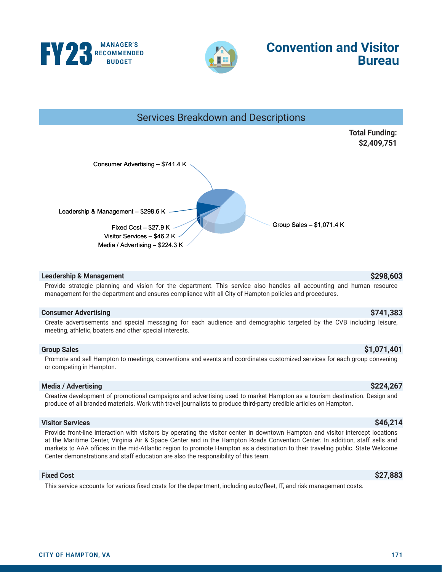



# **Convention and Visitor Bureau**



## **Leadership & Management \$298,603**

Provide strategic planning and vision for the department. This service also handles all accounting and human resource management for the department and ensures compliance with all City of Hampton policies and procedures.

### **Consumer Advertising \$741,383**

Create advertisements and special messaging for each audience and demographic targeted by the CVB including leisure, meeting, athletic, boaters and other special interests.

### **Group Sales \$1,071,401**

Promote and sell Hampton to meetings, conventions and events and coordinates customized services for each group convening or competing in Hampton.

### **Media / Advertising \$224,267**

Creative development of promotional campaigns and advertising used to market Hampton as a tourism destination. Design and produce of all branded materials. Work with travel journalists to produce third-party credible articles on Hampton.

### **Visitor Services \$46,214**

Provide front-line interaction with visitors by operating the visitor center in downtown Hampton and visitor intercept locations at the Maritime Center, Virginia Air & Space Center and in the Hampton Roads Convention Center. In addition, staff sells and markets to AAA offices in the mid-Atlantic region to promote Hampton as a destination to their traveling public. State Welcome Center demonstrations and staff education are also the responsibility of this team.

## **Fixed Cost \$27,883**

This service accounts for various fixed costs for the department, including auto/fleet, IT, and risk management costs.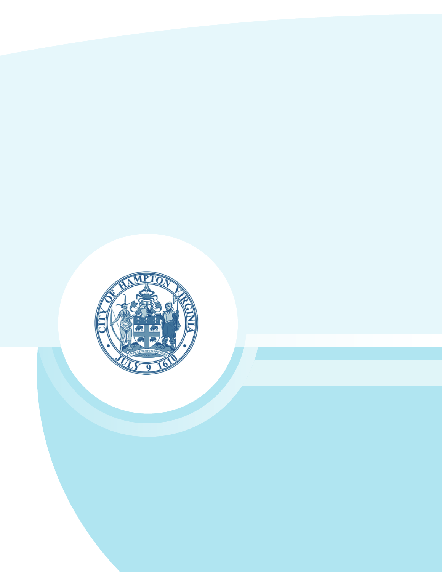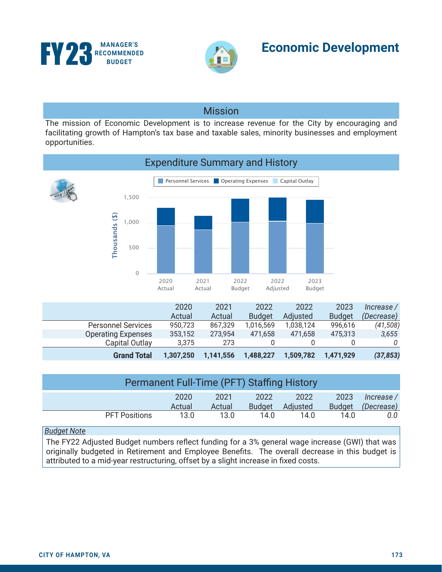



# **Economic Development**

## Mission

The mission of Economic Development is to increase revenue for the City by encouraging and facilitating growth of Hampton's tax base and taxable sales, minority businesses and employment opportunities.



|                           | <b>Grand Total</b> | 1,141,556<br>1.307.250 | 1,488,227            | 1.509.782          | 1.471.929 | (37, 853) |
|---------------------------|--------------------|------------------------|----------------------|--------------------|-----------|-----------|
|                           |                    |                        |                      |                    |           |           |
| Capital Outlay            |                    | 3.375                  | 273                  |                    |           |           |
| <b>Operating Expenses</b> |                    | 353,152                | 273.954              | 471.658<br>471.658 | 475.313   | 3,655     |
| <b>Personnel Services</b> |                    | 950.723                | 1.016.569<br>867.329 | 1.038.124          | 996.616   | (41, 508) |

| Permanent Full-Time (PFT) Staffing History                                                     |                      |        |        |               |          |               |            |
|------------------------------------------------------------------------------------------------|----------------------|--------|--------|---------------|----------|---------------|------------|
|                                                                                                |                      | 2020   | 2021   | 2022          | 2022     | 2023          | Increase / |
|                                                                                                |                      | Actual | Actual | <b>Budget</b> | Adjusted | <b>Budget</b> | (Decrease) |
|                                                                                                | <b>PFT Positions</b> | 13.0   | 13.0   | 14.0          | 14.0     | 14.0          | 0.0        |
| <b>Budget Note</b>                                                                             |                      |        |        |               |          |               |            |
| The FY22 Adjusted Budget numbers reflect funding for a 3% general wage increase (GWI) that was |                      |        |        |               |          |               |            |

djusted Budget numbers reflect funding for a 3% general wage increase (GWI) that was originally budgeted in Retirement and Employee Benefits. The overall decrease in this budget is attributed to a mid-year restructuring, offset by a slight increase in fixed costs.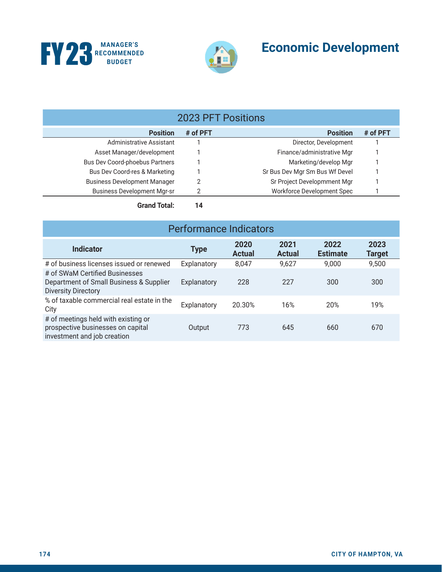



# **Economic Development**

| 2023 PFT Positions                  |          |                                |          |  |  |
|-------------------------------------|----------|--------------------------------|----------|--|--|
| <b>Position</b>                     | # of PFT | <b>Position</b>                | # of PFT |  |  |
| Administrative Assistant            |          | Director, Development          |          |  |  |
| Asset Manager/development           |          | Finance/administrative Mgr     |          |  |  |
| Bus Dev Coord-phoebus Partners      |          | Marketing/develop Mgr          |          |  |  |
| Bus Dev Coord-res & Marketing       |          | Sr Bus Dev Mgr Sm Bus Wf Devel |          |  |  |
| <b>Business Development Manager</b> |          | Sr Project Developmment Mgr    |          |  |  |
| <b>Business Development Mgr-sr</b>  |          | Workforce Development Spec     |          |  |  |
|                                     |          |                                |          |  |  |

**Grand Total: 14**

| <b>Performance Indicators</b>                                                                           |             |                       |                       |                         |                       |  |
|---------------------------------------------------------------------------------------------------------|-------------|-----------------------|-----------------------|-------------------------|-----------------------|--|
| Indicator                                                                                               | <b>Type</b> | 2020<br><b>Actual</b> | 2021<br><b>Actual</b> | 2022<br><b>Estimate</b> | 2023<br><b>Target</b> |  |
| # of business licenses issued or renewed                                                                | Explanatory | 8,047                 | 9,627                 | 9,000                   | 9,500                 |  |
| # of SWaM Certified Businesses<br>Department of Small Business & Supplier<br><b>Diversity Directory</b> | Explanatory | 228                   | 227                   | 300                     | 300                   |  |
| % of taxable commercial real estate in the<br>City                                                      | Explanatory | 20.30%                | 16%                   | 20%                     | 19%                   |  |
| # of meetings held with existing or<br>prospective businesses on capital<br>investment and job creation | Output      | 773                   | 645                   | 660                     | 670                   |  |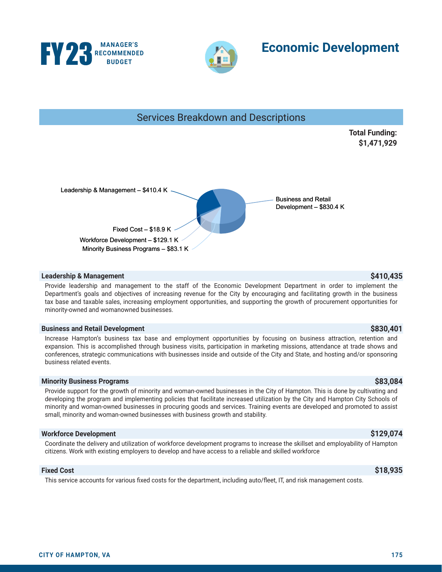



# **Economic Development**



### **Leadership & Management \$410,435**

Provide leadership and management to the staff of the Economic Development Department in order to implement the Department's goals and objectives of increasing revenue for the City by encouraging and facilitating growth in the business tax base and taxable sales, increasing employment opportunities, and supporting the growth of procurement opportunities for minority-owned and womanowned businesses.

## **Business and Retail Development \$830,401**

Increase Hampton's business tax base and employment opportunities by focusing on business attraction, retention and expansion. This is accomplished through business visits, participation in marketing missions, attendance at trade shows and conferences, strategic communications with businesses inside and outside of the City and State, and hosting and/or sponsoring business related events.

## **Minority Business Programs \$83,084**

Provide support for the growth of minority and woman-owned businesses in the City of Hampton. This is done by cultivating and developing the program and implementing policies that facilitate increased utilization by the City and Hampton City Schools of minority and woman-owned businesses in procuring goods and services. Training events are developed and promoted to assist small, minority and woman-owned businesses with business growth and stability.

### **Workforce Development \$129,074**

Coordinate the delivery and utilization of workforce development programs to increase the skillset and employability of Hampton citizens. Work with existing employers to develop and have access to a reliable and skilled workforce

## **Fixed Cost \$18,935**

This service accounts for various fixed costs for the department, including auto/fleet, IT, and risk management costs.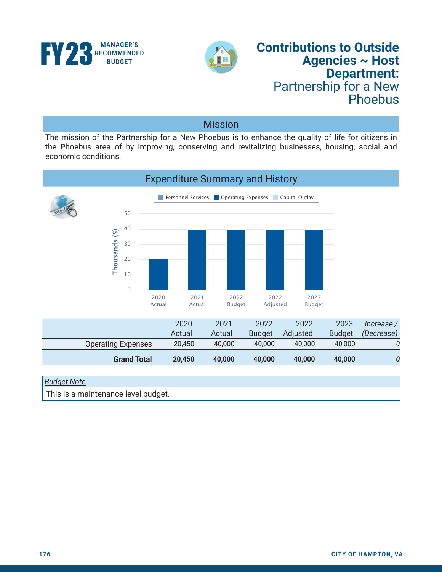



# **Contributions to Outside Agencies ~ Host Department:** Partnership for a New **Phoebus**

## Mission

The mission of the Partnership for a New Phoebus is to enhance the quality of life for citizens in the Phoebus area of by improving, conserving and revitalizing businesses, housing, social and economic conditions.



## *Budget Note*

This is a maintenance level budget.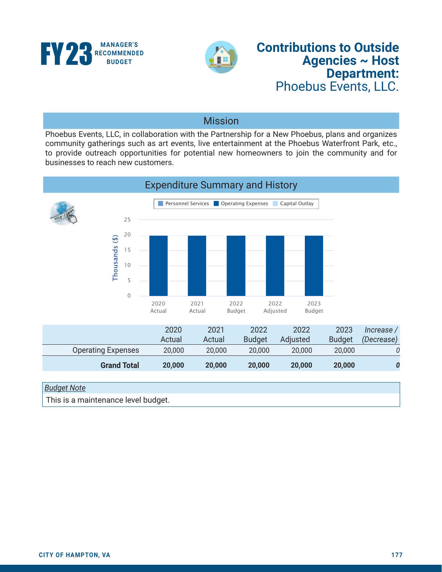



# **Contributions to Outside Agencies ~ Host Department:** Phoebus Events, LLC.

## Mission

Phoebus Events, LLC, in collaboration with the Partnership for a New Phoebus, plans and organizes community gatherings such as art events, live entertainment at the Phoebus Waterfront Park, etc., to provide outreach opportunities for potential new homeowners to join the community and for businesses to reach new customers.



**Grand Total 20,000 20,000 20,000 20,000 20,000** *0*

## Expenditure Summary and History

## *Budget Note*

This is a maintenance level budget.